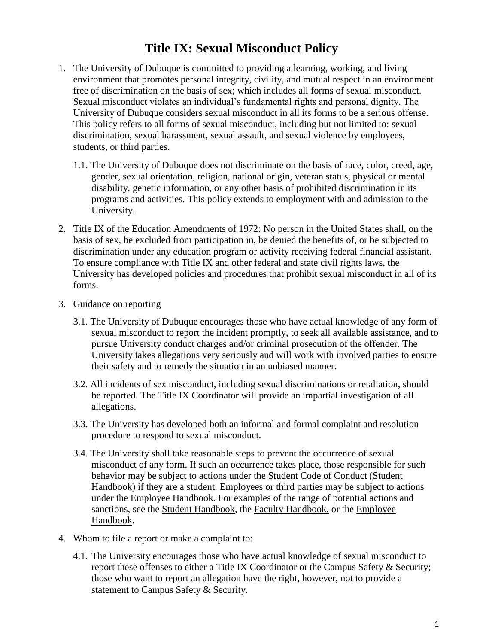# **Title IX: Sexual Misconduct Policy**

- 1. The University of Dubuque is committed to providing a learning, working, and living environment that promotes personal integrity, civility, and mutual respect in an environment free of discrimination on the basis of sex; which includes all forms of sexual misconduct. Sexual misconduct violates an individual's fundamental rights and personal dignity. The University of Dubuque considers sexual misconduct in all its forms to be a serious offense. This policy refers to all forms of sexual misconduct, including but not limited to: sexual discrimination, sexual harassment, sexual assault, and sexual violence by employees, students, or third parties.
	- 1.1. The University of Dubuque does not discriminate on the basis of race, color, creed, age, gender, sexual orientation, religion, national origin, veteran status, physical or mental disability, genetic information, or any other basis of prohibited discrimination in its programs and activities. This policy extends to employment with and admission to the University.
- 2. Title IX of the Education Amendments of 1972: No person in the United States shall, on the basis of sex, be excluded from participation in, be denied the benefits of, or be subjected to discrimination under any education program or activity receiving federal financial assistant. To ensure compliance with Title IX and other federal and state civil rights laws, the University has developed policies and procedures that prohibit sexual misconduct in all of its forms.
- 3. Guidance on reporting
	- 3.1. The University of Dubuque encourages those who have actual knowledge of any form of sexual misconduct to report the incident promptly, to seek all available assistance, and to pursue University conduct charges and/or criminal prosecution of the offender. The University takes allegations very seriously and will work with involved parties to ensure their safety and to remedy the situation in an unbiased manner.
	- 3.2. All incidents of sex misconduct, including sexual discriminations or retaliation, should be reported. The Title IX Coordinator will provide an impartial investigation of all allegations.
	- 3.3. The University has developed both an informal and formal complaint and resolution procedure to respond to sexual misconduct.
	- 3.4. The University shall take reasonable steps to prevent the occurrence of sexual misconduct of any form. If such an occurrence takes place, those responsible for such behavior may be subject to actions under the Student Code of Conduct (Student Handbook) if they are a student. Employees or third parties may be subject to actions under the Employee Handbook. For examples of the range of potential actions and sanctions, see the Student Handbook, the [Faculty Handbook,](file:///C:/Users/aedmonds/AppData/Local/Microsoft/Windows/Temporary%20Internet%20Files/Content.Outlook/HOM1B30M/Faculty%20Handbook%20-%20Fall%202018-19.docx) or the [Employee](file:///C:/Users/mkruser.DBQ/AppData/Local/Microsoft/Windows/INetCache/Content.Outlook/Employee%20Handbook.docx)  [Handbook.](file:///C:/Users/mkruser.DBQ/AppData/Local/Microsoft/Windows/INetCache/Content.Outlook/Employee%20Handbook.docx)
- 4. Whom to file a report or make a complaint to:
	- 4.1. The University encourages those who have actual knowledge of sexual misconduct to report these offenses to either a Title IX Coordinator or the Campus Safety & Security; those who want to report an allegation have the right, however, not to provide a statement to Campus Safety & Security.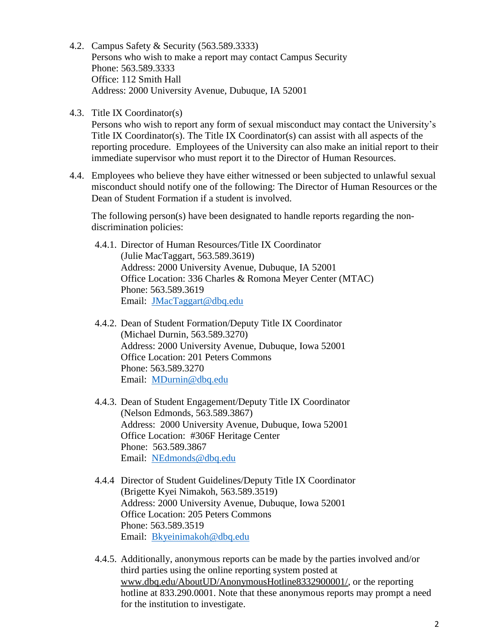- 4.2. Campus Safety & Security (563.589.3333) Persons who wish to make a report may contact Campus Security Phone: 563.589.3333 Office: 112 Smith Hall Address: 2000 University Avenue, Dubuque, IA 52001
- 4.3. Title IX Coordinator(s)

Persons who wish to report any form of sexual misconduct may contact the University's Title IX Coordinator(s). The Title IX Coordinator(s) can assist with all aspects of the reporting procedure. Employees of the University can also make an initial report to their immediate supervisor who must report it to the Director of Human Resources.

4.4. Employees who believe they have either witnessed or been subjected to unlawful sexual misconduct should notify one of the following: The Director of Human Resources or the Dean of Student Formation if a student is involved.

The following person(s) have been designated to handle reports regarding the nondiscrimination policies:

- 4.4.1. Director of Human Resources/Title IX Coordinator (Julie MacTaggart, 563.589.3619) Address: 2000 University Avenue, Dubuque, IA 52001 Office Location: 336 Charles & Romona Meyer Center (MTAC) Phone: 563.589.3619 Email: [JMacTaggart@dbq.edu](mailto:JMacTaggart@dbq.edu)
- 4.4.2. Dean of Student Formation/Deputy Title IX Coordinator (Michael Durnin, 563.589.3270) Address: 2000 University Avenue, Dubuque, Iowa 52001 Office Location: 201 Peters Commons Phone: 563.589.3270 Email: [MDurnin@dbq.edu](mailto:MDurnin@dbq.edu)
- 4.4.3. Dean of Student Engagement/Deputy Title IX Coordinator (Nelson Edmonds, 563.589.3867) Address: 2000 University Avenue, Dubuque, Iowa 52001 Office Location: #306F Heritage Center Phone: 563.589.3867 Email: [NEdmonds@dbq.edu](mailto:NEdmonds@dbq.edu)
- 4.4.4 Director of Student Guidelines/Deputy Title IX Coordinator (Brigette Kyei Nimakoh, 563.589.3519) Address: 2000 University Avenue, Dubuque, Iowa 52001 Office Location: 205 Peters Commons Phone: 563.589.3519 Email: [Bkyeinimakoh@dbq.edu](mailto:Bkyeinimakoh@dbq.edu)
- 4.4.5. Additionally, anonymous reports can be made by the parties involved and/or third parties using the online reporting system posted at [www.dbq.edu/AboutUD/AnonymousHotline8332900001/,](http://www.dbq.edu/AboutUD/AnonymousHotline8332900001/) or the reporting hotline at 833.290.0001. Note that these anonymous reports may prompt a need for the institution to investigate.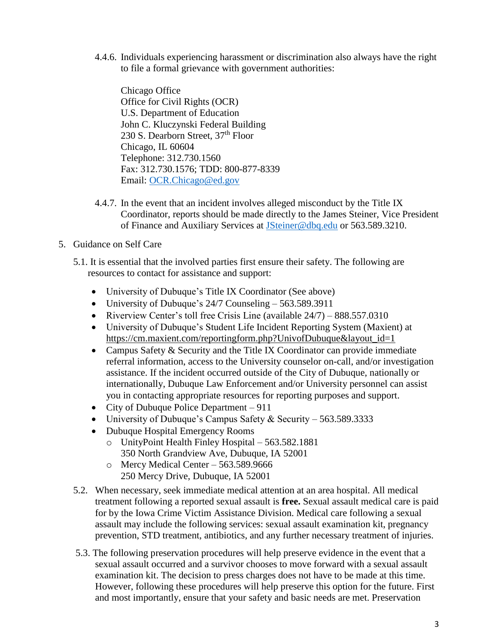4.4.6. Individuals experiencing harassment or discrimination also always have the right to file a formal grievance with government authorities:

Chicago Office Office for Civil Rights (OCR) U.S. Department of Education John C. Kluczynski Federal Building 230 S. Dearborn Street, 37<sup>th</sup> Floor Chicago, IL 60604 Telephone: 312.730.1560 Fax: 312.730.1576; TDD: 800-877-8339 Email: [OCR.Chicago@ed.gov](mailto:OCR.Chicago@ed.gov)

- 4.4.7. In the event that an incident involves alleged misconduct by the Title IX Coordinator, reports should be made directly to the James Steiner, Vice President of Finance and Auxiliary Services at [JSteiner@dbq.edu](mailto:JSteiner@dbq.edu) or 563.589.3210.
- 5. Guidance on Self Care
	- 5.1. It is essential that the involved parties first ensure their safety. The following are resources to contact for assistance and support:
		- University of Dubuque's Title IX Coordinator (See above)
		- University of Dubuque's 24/7 Counseling 563.589.3911
		- Riverview Center's toll free Crisis Line (available  $24/7$ ) 888.557.0310
		- University of Dubuque's Student Life Incident Reporting System (Maxient) at [https://cm.maxient.com/reportingform.php?UnivofDubuque&layout\\_id=1](https://cm.maxient.com/reportingform.php?UnivofDubuque&layout_id=1)
		- Campus Safety & Security and the Title IX Coordinator can provide immediate referral information, access to the University counselor on-call, and/or investigation assistance. If the incident occurred outside of the City of Dubuque, nationally or internationally, Dubuque Law Enforcement and/or University personnel can assist you in contacting appropriate resources for reporting purposes and support.
		- City of Dubuque Police Department 911
		- University of Dubuque's Campus Safety & Security 563.589.3333
		- Dubuque Hospital Emergency Rooms
			- o UnityPoint Health Finley Hospital 563.582.1881 350 North Grandview Ave, Dubuque, IA 52001
			- o Mercy Medical Center 563.589.9666 250 Mercy Drive, Dubuque, IA 52001
	- 5.2. When necessary, seek immediate medical attention at an area hospital. All medical treatment following a reported sexual assault is **free.** Sexual assault medical care is paid for by the Iowa Crime Victim Assistance Division. Medical care following a sexual assault may include the following services: sexual assault examination kit, pregnancy prevention, STD treatment, antibiotics, and any further necessary treatment of injuries.
	- 5.3. The following preservation procedures will help preserve evidence in the event that a sexual assault occurred and a survivor chooses to move forward with a sexual assault examination kit. The decision to press charges does not have to be made at this time. However, following these procedures will help preserve this option for the future. First and most importantly, ensure that your safety and basic needs are met. Preservation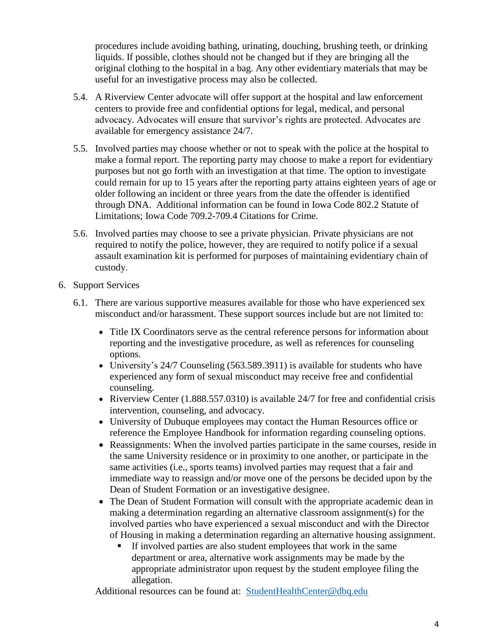procedures include avoiding bathing, urinating, douching, brushing teeth, or drinking liquids. If possible, clothes should not be changed but if they are bringing all the original clothing to the hospital in a bag. Any other evidentiary materials that may be useful for an investigative process may also be collected.

- 5.4. A Riverview Center advocate will offer support at the hospital and law enforcement centers to provide free and confidential options for legal, medical, and personal advocacy. Advocates will ensure that survivor's rights are protected. Advocates are available for emergency assistance 24/7.
- 5.5. Involved parties may choose whether or not to speak with the police at the hospital to make a formal report. The reporting party may choose to make a report for evidentiary purposes but not go forth with an investigation at that time. The option to investigate could remain for up to 15 years after the reporting party attains eighteen years of age or older following an incident or three years from the date the offender is identified through DNA. Additional information can be found in Iowa Code 802.2 Statute of Limitations; Iowa Code 709.2-709.4 Citations for Crime.
- 5.6. Involved parties may choose to see a private physician. Private physicians are not required to notify the police, however, they are required to notify police if a sexual assault examination kit is performed for purposes of maintaining evidentiary chain of custody.
- 6. Support Services
	- 6.1. There are various supportive measures available for those who have experienced sex misconduct and/or harassment. These support sources include but are not limited to:
		- Title IX Coordinators serve as the central reference persons for information about reporting and the investigative procedure, as well as references for counseling options.
		- University's 24/7 Counseling (563.589.3911) is available for students who have experienced any form of sexual misconduct may receive free and confidential counseling.
		- Riverview Center (1.888.557.0310) is available 24/7 for free and confidential crisis intervention, counseling, and advocacy.
		- University of Dubuque employees may contact the Human Resources office or reference the Employee Handbook for information regarding counseling options.
		- Reassignments: When the involved parties participate in the same courses, reside in the same University residence or in proximity to one another, or participate in the same activities (i.e., sports teams) involved parties may request that a fair and immediate way to reassign and/or move one of the persons be decided upon by the Dean of Student Formation or an investigative designee.
		- The Dean of Student Formation will consult with the appropriate academic dean in making a determination regarding an alternative classroom assignment(s) for the involved parties who have experienced a sexual misconduct and with the Director of Housing in making a determination regarding an alternative housing assignment.
			- If involved parties are also student employees that work in the same department or area, alternative work assignments may be made by the appropriate administrator upon request by the student employee filing the allegation.

Additional resources can be found at: [StudentHealthCenter@dbq.edu](mailto:StudentHealthCenter@dbq.edu)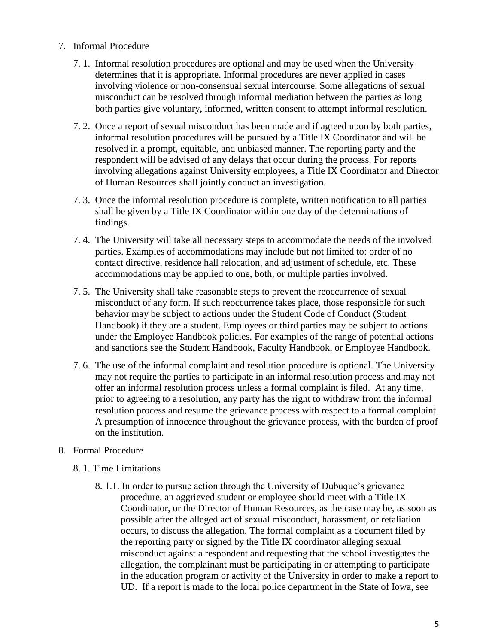- 7. Informal Procedure
	- 7. 1. Informal resolution procedures are optional and may be used when the University determines that it is appropriate. Informal procedures are never applied in cases involving violence or non-consensual sexual intercourse. Some allegations of sexual misconduct can be resolved through informal mediation between the parties as long both parties give voluntary, informed, written consent to attempt informal resolution.
	- 7. 2. Once a report of sexual misconduct has been made and if agreed upon by both parties, informal resolution procedures will be pursued by a Title IX Coordinator and will be resolved in a prompt, equitable, and unbiased manner. The reporting party and the respondent will be advised of any delays that occur during the process. For reports involving allegations against University employees, a Title IX Coordinator and Director of Human Resources shall jointly conduct an investigation.
	- 7. 3. Once the informal resolution procedure is complete, written notification to all parties shall be given by a Title IX Coordinator within one day of the determinations of findings.
	- 7. 4. The University will take all necessary steps to accommodate the needs of the involved parties. Examples of accommodations may include but not limited to: order of no contact directive, residence hall relocation, and adjustment of schedule, etc. These accommodations may be applied to one, both, or multiple parties involved.
	- 7. 5. The University shall take reasonable steps to prevent the reoccurrence of sexual misconduct of any form. If such reoccurrence takes place, those responsible for such behavior may be subject to actions under the Student Code of Conduct (Student Handbook) if they are a student. Employees or third parties may be subject to actions under the Employee Handbook policies. For examples of the range of potential actions and sanctions see the Student Handbook, [Faculty Handbook,](file:///C:/Users/aedmonds/AppData/Local/Microsoft/Windows/Temporary%20Internet%20Files/Content.Outlook/HOM1B30M/Faculty%20Handbook%20-%20Fall%202018-19.docx) or [Employee Handbook.](file:///C:/Users/aedmonds/AppData/Local/Microsoft/Windows/Temporary%20Internet%20Files/Content.Outlook/HOM1B30M/Employee%20Handbook.docx)
	- 7. 6. The use of the informal complaint and resolution procedure is optional. The University may not require the parties to participate in an informal resolution process and may not offer an informal resolution process unless a formal complaint is filed. At any time, prior to agreeing to a resolution, any party has the right to withdraw from the informal resolution process and resume the grievance process with respect to a formal complaint. A presumption of innocence throughout the grievance process, with the burden of proof on the institution.
- 8. Formal Procedure
	- 8. 1. Time Limitations
		- 8. 1.1. In order to pursue action through the University of Dubuque's grievance procedure, an aggrieved student or employee should meet with a Title IX Coordinator, or the Director of Human Resources, as the case may be, as soon as possible after the alleged act of sexual misconduct, harassment, or retaliation occurs, to discuss the allegation. The formal complaint as a document filed by the reporting party or signed by the Title IX coordinator alleging sexual misconduct against a respondent and requesting that the school investigates the allegation, the complainant must be participating in or attempting to participate in the education program or activity of the University in order to make a report to UD. If a report is made to the local police department in the State of Iowa, see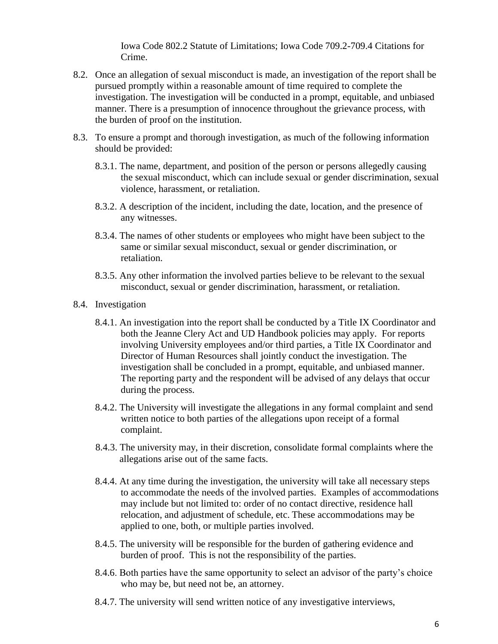Iowa Code 802.2 Statute of Limitations; Iowa Code 709.2-709.4 Citations for Crime.

- 8.2. Once an allegation of sexual misconduct is made, an investigation of the report shall be pursued promptly within a reasonable amount of time required to complete the investigation. The investigation will be conducted in a prompt, equitable, and unbiased manner. There is a presumption of innocence throughout the grievance process, with the burden of proof on the institution.
- 8.3. To ensure a prompt and thorough investigation, as much of the following information should be provided:
	- 8.3.1. The name, department, and position of the person or persons allegedly causing the sexual misconduct, which can include sexual or gender discrimination, sexual violence, harassment, or retaliation.
	- 8.3.2. A description of the incident, including the date, location, and the presence of any witnesses.
	- 8.3.4. The names of other students or employees who might have been subject to the same or similar sexual misconduct, sexual or gender discrimination, or retaliation.
	- 8.3.5. Any other information the involved parties believe to be relevant to the sexual misconduct, sexual or gender discrimination, harassment, or retaliation.
- 8.4. Investigation
	- 8.4.1. An investigation into the report shall be conducted by a Title IX Coordinator and both the Jeanne Clery Act and UD Handbook policies may apply. For reports involving University employees and/or third parties, a Title IX Coordinator and Director of Human Resources shall jointly conduct the investigation. The investigation shall be concluded in a prompt, equitable, and unbiased manner. The reporting party and the respondent will be advised of any delays that occur during the process.
	- 8.4.2. The University will investigate the allegations in any formal complaint and send written notice to both parties of the allegations upon receipt of a formal complaint.
	- 8.4.3. The university may, in their discretion, consolidate formal complaints where the allegations arise out of the same facts.
	- 8.4.4. At any time during the investigation, the university will take all necessary steps to accommodate the needs of the involved parties. Examples of accommodations may include but not limited to: order of no contact directive, residence hall relocation, and adjustment of schedule, etc. These accommodations may be applied to one, both, or multiple parties involved.
	- 8.4.5. The university will be responsible for the burden of gathering evidence and burden of proof. This is not the responsibility of the parties.
	- 8.4.6. Both parties have the same opportunity to select an advisor of the party's choice who may be, but need not be, an attorney.
	- 8.4.7. The university will send written notice of any investigative interviews,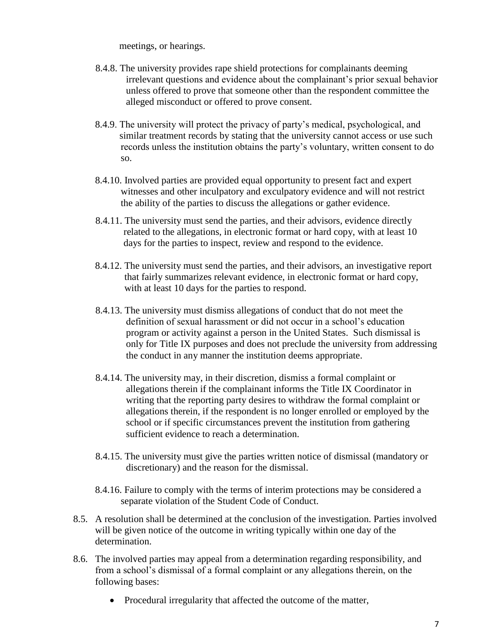meetings, or hearings.

- 8.4.8. The university provides rape shield protections for complainants deeming irrelevant questions and evidence about the complainant's prior sexual behavior unless offered to prove that someone other than the respondent committee the alleged misconduct or offered to prove consent.
- 8.4.9. The university will protect the privacy of party's medical, psychological, and similar treatment records by stating that the university cannot access or use such records unless the institution obtains the party's voluntary, written consent to do so.
- 8.4.10. Involved parties are provided equal opportunity to present fact and expert witnesses and other inculpatory and exculpatory evidence and will not restrict the ability of the parties to discuss the allegations or gather evidence.
- 8.4.11. The university must send the parties, and their advisors, evidence directly related to the allegations, in electronic format or hard copy, with at least 10 days for the parties to inspect, review and respond to the evidence.
- 8.4.12. The university must send the parties, and their advisors, an investigative report that fairly summarizes relevant evidence, in electronic format or hard copy, with at least 10 days for the parties to respond.
- 8.4.13. The university must dismiss allegations of conduct that do not meet the definition of sexual harassment or did not occur in a school's education program or activity against a person in the United States. Such dismissal is only for Title IX purposes and does not preclude the university from addressing the conduct in any manner the institution deems appropriate.
- 8.4.14. The university may, in their discretion, dismiss a formal complaint or allegations therein if the complainant informs the Title IX Coordinator in writing that the reporting party desires to withdraw the formal complaint or allegations therein, if the respondent is no longer enrolled or employed by the school or if specific circumstances prevent the institution from gathering sufficient evidence to reach a determination.
- 8.4.15. The university must give the parties written notice of dismissal (mandatory or discretionary) and the reason for the dismissal.
- 8.4.16. Failure to comply with the terms of interim protections may be considered a separate violation of the Student Code of Conduct.
- 8.5. A resolution shall be determined at the conclusion of the investigation. Parties involved will be given notice of the outcome in writing typically within one day of the determination.
- 8.6. The involved parties may appeal from a determination regarding responsibility, and from a school's dismissal of a formal complaint or any allegations therein, on the following bases:
	- Procedural irregularity that affected the outcome of the matter,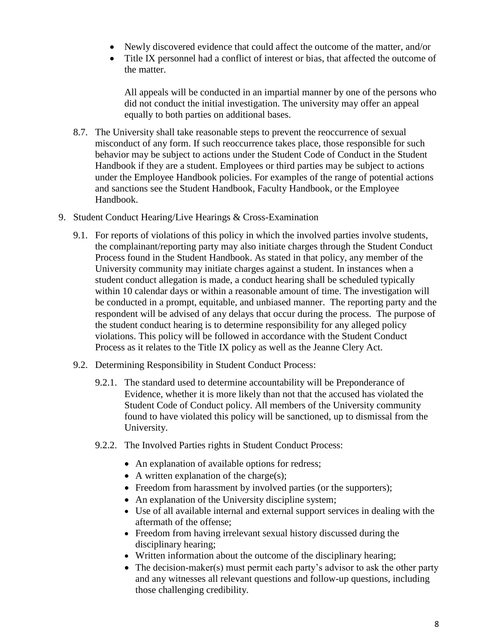- Newly discovered evidence that could affect the outcome of the matter, and/or
- Title IX personnel had a conflict of interest or bias, that affected the outcome of the matter.

All appeals will be conducted in an impartial manner by one of the persons who did not conduct the initial investigation. The university may offer an appeal equally to both parties on additional bases.

- 8.7. The University shall take reasonable steps to prevent the reoccurrence of sexual misconduct of any form. If such reoccurrence takes place, those responsible for such behavior may be subject to actions under the Student Code of Conduct in the Student Handbook if they are a student. Employees or third parties may be subject to actions under the Employee Handbook policies. For examples of the range of potential actions and sanctions see the Student Handbook, Faculty Handbook, or the Employee Handbook.
- 9. Student Conduct Hearing/Live Hearings & Cross-Examination
	- 9.1. For reports of violations of this policy in which the involved parties involve students, the complainant/reporting party may also initiate charges through the Student Conduct Process found in the Student Handbook. As stated in that policy, any member of the University community may initiate charges against a student. In instances when a student conduct allegation is made, a conduct hearing shall be scheduled typically within 10 calendar days or within a reasonable amount of time. The investigation will be conducted in a prompt, equitable, and unbiased manner. The reporting party and the respondent will be advised of any delays that occur during the process. The purpose of the student conduct hearing is to determine responsibility for any alleged policy violations. This policy will be followed in accordance with the Student Conduct Process as it relates to the Title IX policy as well as the Jeanne Clery Act.
	- 9.2. Determining Responsibility in Student Conduct Process:
		- 9.2.1. The standard used to determine accountability will be Preponderance of Evidence, whether it is more likely than not that the accused has violated the Student Code of Conduct policy. All members of the University community found to have violated this policy will be sanctioned, up to dismissal from the University.
		- 9.2.2. The Involved Parties rights in Student Conduct Process:
			- An explanation of available options for redress;
			- $\bullet$  A written explanation of the charge(s);
			- Freedom from harassment by involved parties (or the supporters);
			- An explanation of the University discipline system;
			- Use of all available internal and external support services in dealing with the aftermath of the offense;
			- Freedom from having irrelevant sexual history discussed during the disciplinary hearing;
			- Written information about the outcome of the disciplinary hearing;
			- $\bullet$  The decision-maker(s) must permit each party's advisor to ask the other party and any witnesses all relevant questions and follow-up questions, including those challenging credibility.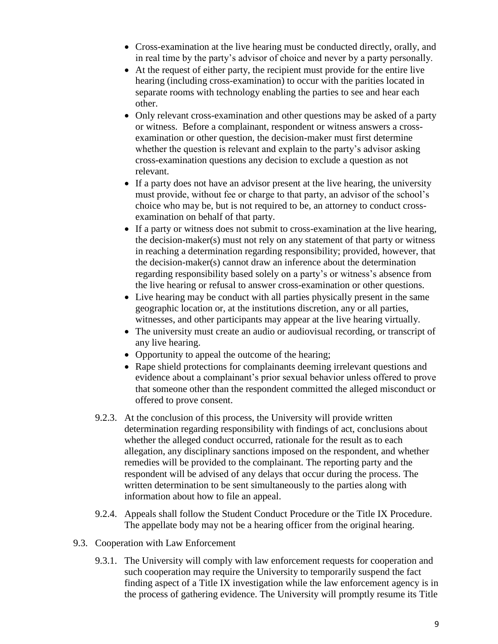- Cross-examination at the live hearing must be conducted directly, orally, and in real time by the party's advisor of choice and never by a party personally.
- At the request of either party, the recipient must provide for the entire live hearing (including cross-examination) to occur with the parities located in separate rooms with technology enabling the parties to see and hear each other.
- Only relevant cross-examination and other questions may be asked of a party or witness. Before a complainant, respondent or witness answers a crossexamination or other question, the decision-maker must first determine whether the question is relevant and explain to the party's advisor asking cross-examination questions any decision to exclude a question as not relevant.
- If a party does not have an advisor present at the live hearing, the university must provide, without fee or charge to that party, an advisor of the school's choice who may be, but is not required to be, an attorney to conduct crossexamination on behalf of that party.
- If a party or witness does not submit to cross-examination at the live hearing, the decision-maker(s) must not rely on any statement of that party or witness in reaching a determination regarding responsibility; provided, however, that the decision-maker(s) cannot draw an inference about the determination regarding responsibility based solely on a party's or witness's absence from the live hearing or refusal to answer cross-examination or other questions.
- Live hearing may be conduct with all parties physically present in the same geographic location or, at the institutions discretion, any or all parties, witnesses, and other participants may appear at the live hearing virtually.
- The university must create an audio or audiovisual recording, or transcript of any live hearing.
- Opportunity to appeal the outcome of the hearing:
- Rape shield protections for complainants deeming irrelevant questions and evidence about a complainant's prior sexual behavior unless offered to prove that someone other than the respondent committed the alleged misconduct or offered to prove consent.
- 9.2.3. At the conclusion of this process, the University will provide written determination regarding responsibility with findings of act, conclusions about whether the alleged conduct occurred, rationale for the result as to each allegation, any disciplinary sanctions imposed on the respondent, and whether remedies will be provided to the complainant. The reporting party and the respondent will be advised of any delays that occur during the process. The written determination to be sent simultaneously to the parties along with information about how to file an appeal.
- 9.2.4. Appeals shall follow the Student Conduct Procedure or the Title IX Procedure. The appellate body may not be a hearing officer from the original hearing.
- 9.3. Cooperation with Law Enforcement
	- 9.3.1. The University will comply with law enforcement requests for cooperation and such cooperation may require the University to temporarily suspend the fact finding aspect of a Title IX investigation while the law enforcement agency is in the process of gathering evidence. The University will promptly resume its Title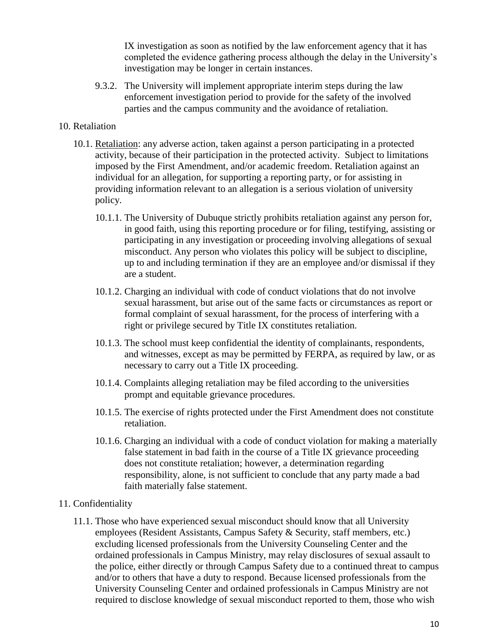IX investigation as soon as notified by the law enforcement agency that it has completed the evidence gathering process although the delay in the University's investigation may be longer in certain instances.

9.3.2. The University will implement appropriate interim steps during the law enforcement investigation period to provide for the safety of the involved parties and the campus community and the avoidance of retaliation.

## 10. Retaliation

- 10.1. Retaliation: any adverse action, taken against a person participating in a protected activity, because of their participation in the protected activity. Subject to limitations imposed by the First Amendment, and/or academic freedom. Retaliation against an individual for an allegation, for supporting a reporting party, or for assisting in providing information relevant to an allegation is a serious violation of university policy.
	- 10.1.1. The University of Dubuque strictly prohibits retaliation against any person for, in good faith, using this reporting procedure or for filing, testifying, assisting or participating in any investigation or proceeding involving allegations of sexual misconduct. Any person who violates this policy will be subject to discipline, up to and including termination if they are an employee and/or dismissal if they are a student.
	- 10.1.2. Charging an individual with code of conduct violations that do not involve sexual harassment, but arise out of the same facts or circumstances as report or formal complaint of sexual harassment, for the process of interfering with a right or privilege secured by Title IX constitutes retaliation.
	- 10.1.3. The school must keep confidential the identity of complainants, respondents, and witnesses, except as may be permitted by FERPA, as required by law, or as necessary to carry out a Title IX proceeding.
	- 10.1.4. Complaints alleging retaliation may be filed according to the universities prompt and equitable grievance procedures.
	- 10.1.5. The exercise of rights protected under the First Amendment does not constitute retaliation.
	- 10.1.6. Charging an individual with a code of conduct violation for making a materially false statement in bad faith in the course of a Title IX grievance proceeding does not constitute retaliation; however, a determination regarding responsibility, alone, is not sufficient to conclude that any party made a bad faith materially false statement.

### 11. Confidentiality

11.1. Those who have experienced sexual misconduct should know that all University employees (Resident Assistants, Campus Safety & Security, staff members, etc.) excluding licensed professionals from the University Counseling Center and the ordained professionals in Campus Ministry, may relay disclosures of sexual assault to the police, either directly or through Campus Safety due to a continued threat to campus and/or to others that have a duty to respond. Because licensed professionals from the University Counseling Center and ordained professionals in Campus Ministry are not required to disclose knowledge of sexual misconduct reported to them, those who wish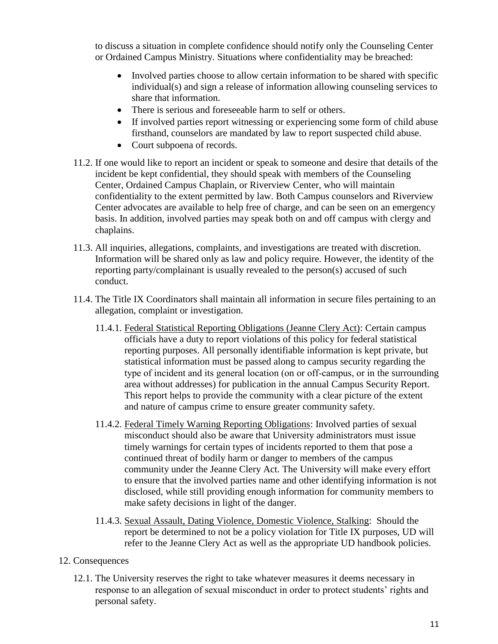to discuss a situation in complete confidence should notify only the Counseling Center or Ordained Campus Ministry. Situations where confidentiality may be breached:

- Involved parties choose to allow certain information to be shared with specific individual(s) and sign a release of information allowing counseling services to share that information.
- There is serious and foreseeable harm to self or others.
- If involved parties report witnessing or experiencing some form of child abuse firsthand, counselors are mandated by law to report suspected child abuse.
- Court subpoena of records.
- 11.2. If one would like to report an incident or speak to someone and desire that details of the incident be kept confidential, they should speak with members of the Counseling Center, Ordained Campus Chaplain, or Riverview Center, who will maintain confidentiality to the extent permitted by law. Both Campus counselors and Riverview Center advocates are available to help free of charge, and can be seen on an emergency basis. In addition, involved parties may speak both on and off campus with clergy and chaplains.
- 11.3. All inquiries, allegations, complaints, and investigations are treated with discretion. Information will be shared only as law and policy require. However, the identity of the reporting party/complainant is usually revealed to the person(s) accused of such conduct.
- 11.4. The Title IX Coordinators shall maintain all information in secure files pertaining to an allegation, complaint or investigation.
	- 11.4.1. Federal Statistical Reporting Obligations (Jeanne Clery Act): Certain campus officials have a duty to report violations of this policy for federal statistical reporting purposes. All personally identifiable information is kept private, but statistical information must be passed along to campus security regarding the type of incident and its general location (on or off‐campus, or in the surrounding area without addresses) for publication in the annual Campus Security Report. This report helps to provide the community with a clear picture of the extent and nature of campus crime to ensure greater community safety.
	- 11.4.2. Federal Timely Warning Reporting Obligations: Involved parties of sexual misconduct should also be aware that University administrators must issue timely warnings for certain types of incidents reported to them that pose a continued threat of bodily harm or danger to members of the campus community under the Jeanne Clery Act. The University will make every effort to ensure that the involved parties name and other identifying information is not disclosed, while still providing enough information for community members to make safety decisions in light of the danger.
	- 11.4.3. Sexual Assault, Dating Violence, Domestic Violence, Stalking: Should the report be determined to not be a policy violation for Title IX purposes, UD will refer to the Jeanne Clery Act as well as the appropriate UD handbook policies.

## 12. Consequences

12.1. The University reserves the right to take whatever measures it deems necessary in response to an allegation of sexual misconduct in order to protect students' rights and personal safety.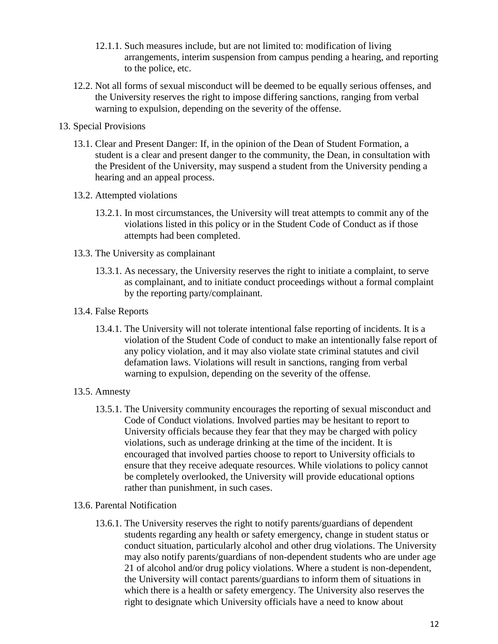- 12.1.1. Such measures include, but are not limited to: modification of living arrangements, interim suspension from campus pending a hearing, and reporting to the police, etc.
- 12.2. Not all forms of sexual misconduct will be deemed to be equally serious offenses, and the University reserves the right to impose differing sanctions, ranging from verbal warning to expulsion, depending on the severity of the offense.
- 13. Special Provisions
	- 13.1. Clear and Present Danger: If, in the opinion of the Dean of Student Formation, a student is a clear and present danger to the community, the Dean, in consultation with the President of the University, may suspend a student from the University pending a hearing and an appeal process.
	- 13.2. Attempted violations
		- 13.2.1. In most circumstances, the University will treat attempts to commit any of the violations listed in this policy or in the Student Code of Conduct as if those attempts had been completed.
	- 13.3. The University as complainant
		- 13.3.1. As necessary, the University reserves the right to initiate a complaint, to serve as complainant, and to initiate conduct proceedings without a formal complaint by the reporting party/complainant.
	- 13.4. False Reports
		- 13.4.1. The University will not tolerate intentional false reporting of incidents. It is a violation of the Student Code of conduct to make an intentionally false report of any policy violation, and it may also violate state criminal statutes and civil defamation laws. Violations will result in sanctions, ranging from verbal warning to expulsion, depending on the severity of the offense.
	- 13.5. Amnesty
		- 13.5.1. The University community encourages the reporting of sexual misconduct and Code of Conduct violations. Involved parties may be hesitant to report to University officials because they fear that they may be charged with policy violations, such as underage drinking at the time of the incident. It is encouraged that involved parties choose to report to University officials to ensure that they receive adequate resources. While violations to policy cannot be completely overlooked, the University will provide educational options rather than punishment, in such cases.
	- 13.6. Parental Notification
		- 13.6.1. The University reserves the right to notify parents/guardians of dependent students regarding any health or safety emergency, change in student status or conduct situation, particularly alcohol and other drug violations. The University may also notify parents/guardians of non-dependent students who are under age 21 of alcohol and/or drug policy violations. Where a student is non-dependent, the University will contact parents/guardians to inform them of situations in which there is a health or safety emergency. The University also reserves the right to designate which University officials have a need to know about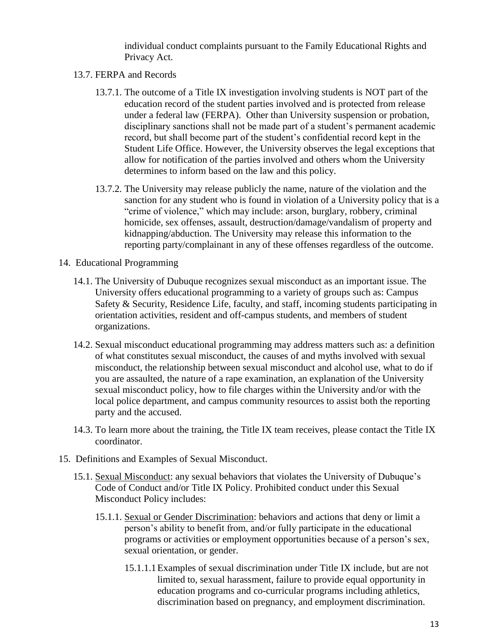individual conduct complaints pursuant to the Family Educational Rights and Privacy Act.

- 13.7. FERPA and Records
	- 13.7.1. The outcome of a Title IX investigation involving students is NOT part of the education record of the student parties involved and is protected from release under a federal law (FERPA). Other than University suspension or probation, disciplinary sanctions shall not be made part of a student's permanent academic record, but shall become part of the student's confidential record kept in the Student Life Office. However, the University observes the legal exceptions that allow for notification of the parties involved and others whom the University determines to inform based on the law and this policy.
	- 13.7.2. The University may release publicly the name, nature of the violation and the sanction for any student who is found in violation of a University policy that is a "crime of violence," which may include: arson, burglary, robbery, criminal homicide, sex offenses, assault, destruction/damage/vandalism of property and kidnapping/abduction. The University may release this information to the reporting party/complainant in any of these offenses regardless of the outcome.
- 14. Educational Programming
	- 14.1. The University of Dubuque recognizes sexual misconduct as an important issue. The University offers educational programming to a variety of groups such as: Campus Safety & Security, Residence Life, faculty, and staff, incoming students participating in orientation activities, resident and off-campus students, and members of student organizations.
	- 14.2. Sexual misconduct educational programming may address matters such as: a definition of what constitutes sexual misconduct, the causes of and myths involved with sexual misconduct, the relationship between sexual misconduct and alcohol use, what to do if you are assaulted, the nature of a rape examination, an explanation of the University sexual misconduct policy, how to file charges within the University and/or with the local police department, and campus community resources to assist both the reporting party and the accused.
	- 14.3. To learn more about the training, the Title IX team receives, please contact the Title IX coordinator.
- 15. Definitions and Examples of Sexual Misconduct.
	- 15.1. Sexual Misconduct: any sexual behaviors that violates the University of Dubuque's Code of Conduct and/or Title IX Policy. Prohibited conduct under this Sexual Misconduct Policy includes:
		- 15.1.1. Sexual or Gender Discrimination: behaviors and actions that deny or limit a person's ability to benefit from, and/or fully participate in the educational programs or activities or employment opportunities because of a person's sex, sexual orientation, or gender.
			- 15.1.1.1Examples of sexual discrimination under Title IX include, but are not limited to, sexual harassment, failure to provide equal opportunity in education programs and co-curricular programs including athletics, discrimination based on pregnancy, and employment discrimination.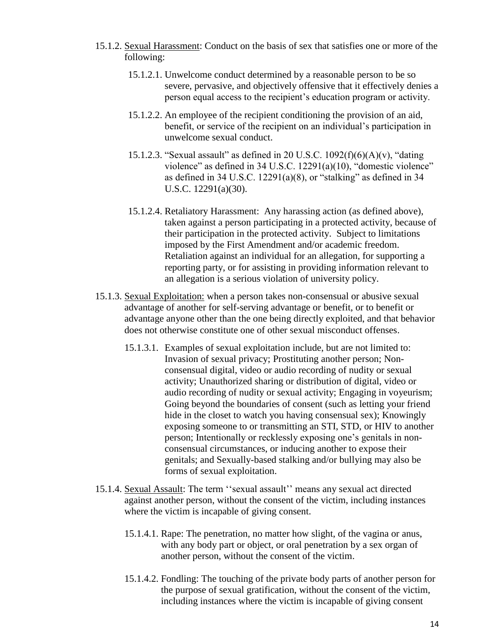- 15.1.2. Sexual Harassment: Conduct on the basis of sex that satisfies one or more of the following:
	- 15.1.2.1. Unwelcome conduct determined by a reasonable person to be so severe, pervasive, and objectively offensive that it effectively denies a person equal access to the recipient's education program or activity.
	- 15.1.2.2. An employee of the recipient conditioning the provision of an aid, benefit, or service of the recipient on an individual's participation in unwelcome sexual conduct.
	- 15.1.2.3. "Sexual assault" as defined in 20 U.S.C.  $1092(f)(6)(A)(v)$ , "dating violence" as defined in 34 U.S.C. 12291(a)(10), "domestic violence" as defined in 34 U.S.C. 12291(a)(8), or "stalking" as defined in 34 U.S.C. 12291(a)(30).
	- 15.1.2.4. Retaliatory Harassment: Any harassing action (as defined above), taken against a person participating in a protected activity, because of their participation in the protected activity. Subject to limitations imposed by the First Amendment and/or academic freedom. Retaliation against an individual for an allegation, for supporting a reporting party, or for assisting in providing information relevant to an allegation is a serious violation of university policy.
- 15.1.3. Sexual Exploitation: when a person takes non-consensual or abusive sexual advantage of another for self-serving advantage or benefit, or to benefit or advantage anyone other than the one being directly exploited, and that behavior does not otherwise constitute one of other sexual misconduct offenses.
	- 15.1.3.1. Examples of sexual exploitation include, but are not limited to: Invasion of sexual privacy; Prostituting another person; Nonconsensual digital, video or audio recording of nudity or sexual activity; Unauthorized sharing or distribution of digital, video or audio recording of nudity or sexual activity; Engaging in voyeurism; Going beyond the boundaries of consent (such as letting your friend hide in the closet to watch you having consensual sex); Knowingly exposing someone to or transmitting an STI, STD, or HIV to another person; Intentionally or recklessly exposing one's genitals in nonconsensual circumstances, or inducing another to expose their genitals; and Sexually-based stalking and/or bullying may also be forms of sexual exploitation.
- 15.1.4. Sexual Assault: The term ''sexual assault'' means any sexual act directed against another person, without the consent of the victim, including instances where the victim is incapable of giving consent.
	- 15.1.4.1. Rape: The penetration, no matter how slight, of the vagina or anus, with any body part or object, or oral penetration by a sex organ of another person, without the consent of the victim.
	- 15.1.4.2. Fondling: The touching of the private body parts of another person for the purpose of sexual gratification, without the consent of the victim, including instances where the victim is incapable of giving consent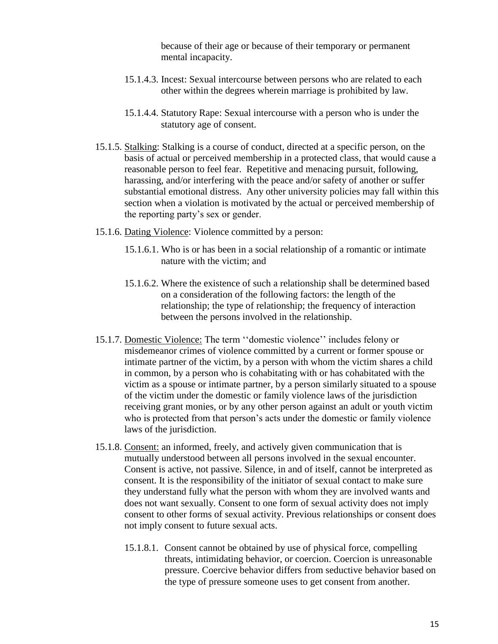because of their age or because of their temporary or permanent mental incapacity.

- 15.1.4.3. Incest: Sexual intercourse between persons who are related to each other within the degrees wherein marriage is prohibited by law.
- 15.1.4.4. Statutory Rape: Sexual intercourse with a person who is under the statutory age of consent.
- 15.1.5. Stalking: Stalking is a course of conduct, directed at a specific person, on the basis of actual or perceived membership in a protected class, that would cause a reasonable person to feel fear. Repetitive and menacing pursuit, following, harassing, and/or interfering with the peace and/or safety of another or suffer substantial emotional distress. Any other university policies may fall within this section when a violation is motivated by the actual or perceived membership of the reporting party's sex or gender.
- 15.1.6. Dating Violence: Violence committed by a person:
	- 15.1.6.1. Who is or has been in a social relationship of a romantic or intimate nature with the victim; and
	- 15.1.6.2. Where the existence of such a relationship shall be determined based on a consideration of the following factors: the length of the relationship; the type of relationship; the frequency of interaction between the persons involved in the relationship.
- 15.1.7. Domestic Violence: The term ''domestic violence'' includes felony or misdemeanor crimes of violence committed by a current or former spouse or intimate partner of the victim, by a person with whom the victim shares a child in common, by a person who is cohabitating with or has cohabitated with the victim as a spouse or intimate partner, by a person similarly situated to a spouse of the victim under the domestic or family violence laws of the jurisdiction receiving grant monies, or by any other person against an adult or youth victim who is protected from that person's acts under the domestic or family violence laws of the jurisdiction.
- 15.1.8. Consent: an informed, freely, and actively given communication that is mutually understood between all persons involved in the sexual encounter. Consent is active, not passive. Silence, in and of itself, cannot be interpreted as consent. It is the responsibility of the initiator of sexual contact to make sure they understand fully what the person with whom they are involved wants and does not want sexually. Consent to one form of sexual activity does not imply consent to other forms of sexual activity. Previous relationships or consent does not imply consent to future sexual acts.
	- 15.1.8.1. Consent cannot be obtained by use of physical force, compelling threats, intimidating behavior, or coercion. Coercion is unreasonable pressure. Coercive behavior differs from seductive behavior based on the type of pressure someone uses to get consent from another.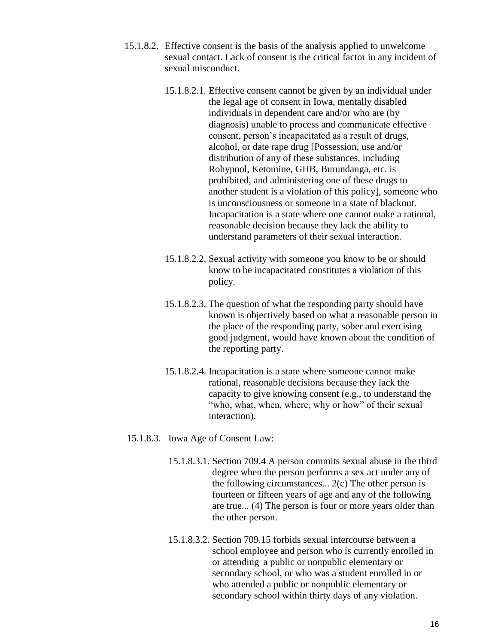- 15.1.8.2. Effective consent is the basis of the analysis applied to unwelcome sexual contact. Lack of consent is the critical factor in any incident of sexual misconduct.
	- 15.1.8.2.1. Effective consent cannot be given by an individual under the legal age of consent in Iowa, mentally disabled individuals in dependent care and/or who are (by diagnosis) unable to process and communicate effective consent, person's incapacitated as a result of drugs, alcohol, or date rape drug [Possession, use and/or distribution of any of these substances, including Rohypnol, Ketomine, GHB, Burundanga, etc. is prohibited, and administering one of these drugs to another student is a violation of this policy], someone who is unconsciousness or someone in a state of blackout. Incapacitation is a state where one cannot make a rational, reasonable decision because they lack the ability to understand parameters of their sexual interaction.
	- 15.1.8.2.2. Sexual activity with someone you know to be or should know to be incapacitated constitutes a violation of this policy.
	- 15.1.8.2.3. The question of what the responding party should have known is objectively based on what a reasonable person in the place of the responding party, sober and exercising good judgment, would have known about the condition of the reporting party.
	- 15.1.8.2.4. Incapacitation is a state where someone cannot make rational, reasonable decisions because they lack the capacity to give knowing consent (e.g., to understand the "who, what, when, where, why or how" of their sexual interaction).

#### 15.1.8.3. Iowa Age of Consent Law:

- 15.1.8.3.1. Section 709.4 A person commits sexual abuse in the third degree when the person performs a sex act under any of the following circumstances...  $2(c)$  The other person is fourteen or fifteen years of age and any of the following are true... (4) The person is four or more years older than the other person.
- 15.1.8.3.2. Section 709.15 forbids sexual intercourse between a school employee and person who is currently enrolled in or attending a public or nonpublic elementary or secondary school, or who was a student enrolled in or who attended a public or nonpublic elementary or secondary school within thirty days of any violation.